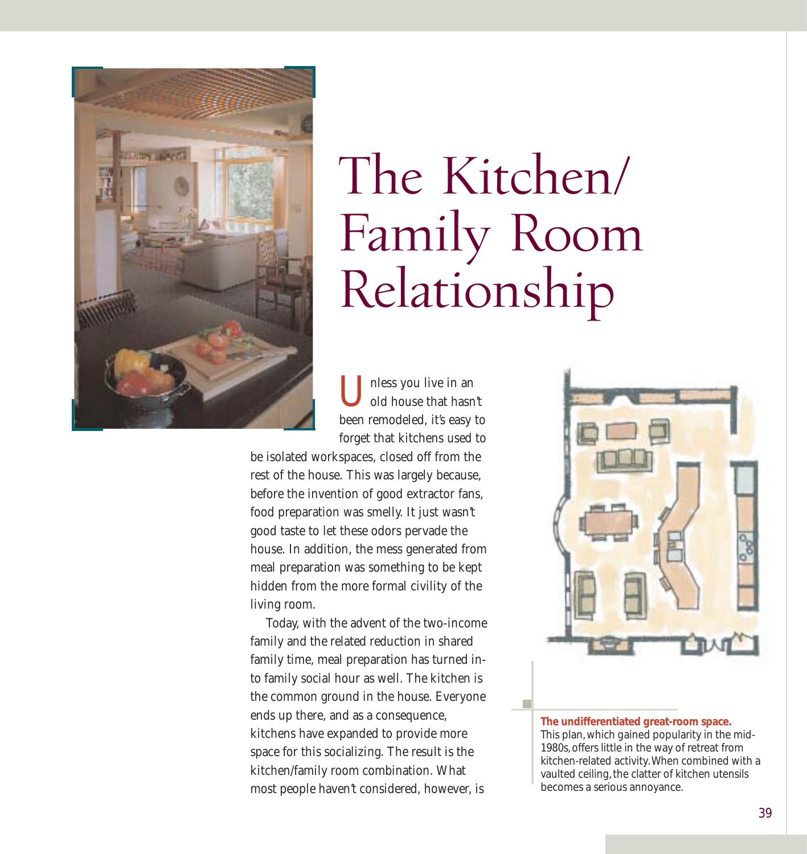

## The Kitchen/ Family Room Relationship

nless you live in an old house that hasn't been remodeled, it's easy to forget that kitchens used to

be isolated workspaces, closed off from the rest of the house. This was largely because, before the invention of good extractor fans, food preparation was smelly. It just wasn't good taste to let these odors pervade the house. In addition, the mess generated from meal preparation was something to be kept hidden from the more formal civility of the living room.

Today, with the advent of the two-income family and the related reduction in shared family time, meal preparation has turned into family social hour as well. The kitchen is the common ground in the house. Everyone ends up there, and as a consequence, kitchens have expanded to provide more space for this socializing. The result is the kitchen/family room combination. What most people haven't considered, however, is



**The undifferentiated great-room space.** This plan, which gained popularity in the mid-1980s, offers little in the way of retreat from kitchen-related activity. When combined with a vaulted ceiling, the clatter of kitchen utensils becomes a serious annoyance.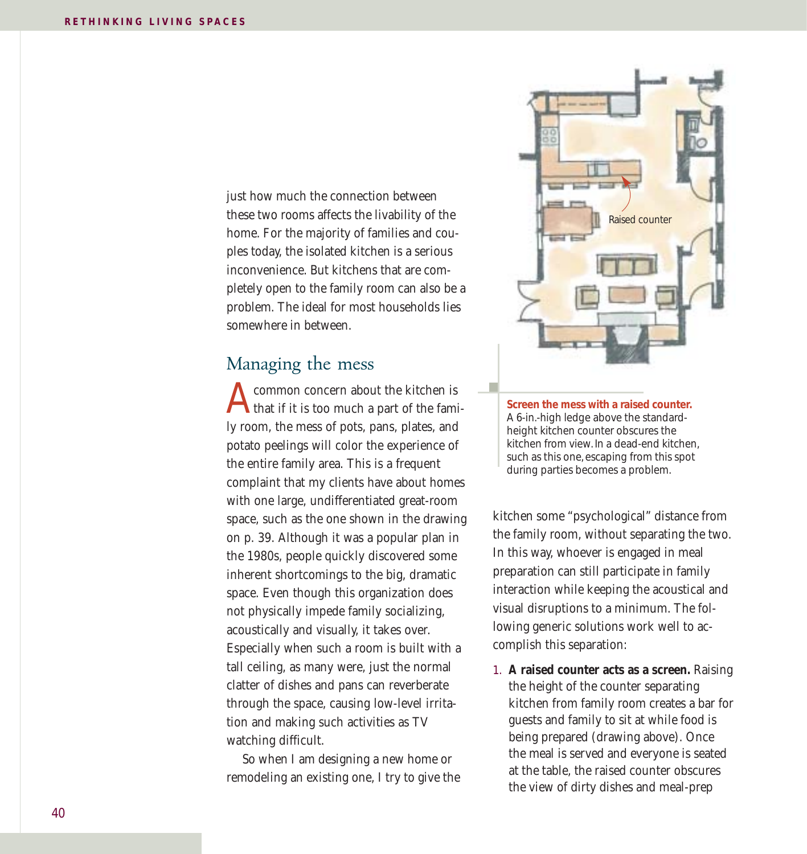just how much the connection between these two rooms affects the livability of the home. For the majority of families and couples today, the isolated kitchen is a serious inconvenience. But kitchens that are completely open to the family room can also be a problem. The ideal for most households lies somewhere in between.

## Managing the mess

common concern about the kitchen is that if it is too much a part of the family room, the mess of pots, pans, plates, and potato peelings will color the experience of the entire family area. This is a frequent complaint that my clients have about homes with one large, undifferentiated great-room space, such as the one shown in the drawing on p. 39. Although it was a popular plan in the 1980s, people quickly discovered some inherent shortcomings to the big, dramatic space. Even though this organization does not physically impede family socializing, acoustically and visually, it takes over. Especially when such a room is built with a tall ceiling, as many were, just the normal clatter of dishes and pans can reverberate through the space, causing low-level irritation and making such activities as TV watching difficult.

So when I am designing a new home or remodeling an existing one, I try to give the



**Screen the mess with a raised counter.** A 6-in.-high ledge above the standardheight kitchen counter obscures the kitchen from view. In a dead-end kitchen, such as this one, escaping from this spot during parties becomes a problem.

kitchen some "psychological" distance from the family room, without separating the two. In this way, whoever is engaged in meal preparation can still participate in family interaction while keeping the acoustical and visual disruptions to a minimum. The following generic solutions work well to accomplish this separation:

1. **A raised counter acts as a screen.** Raising the height of the counter separating kitchen from family room creates a bar for guests and family to sit at while food is being prepared (drawing above). Once the meal is served and everyone is seated at the table, the raised counter obscures the view of dirty dishes and meal-prep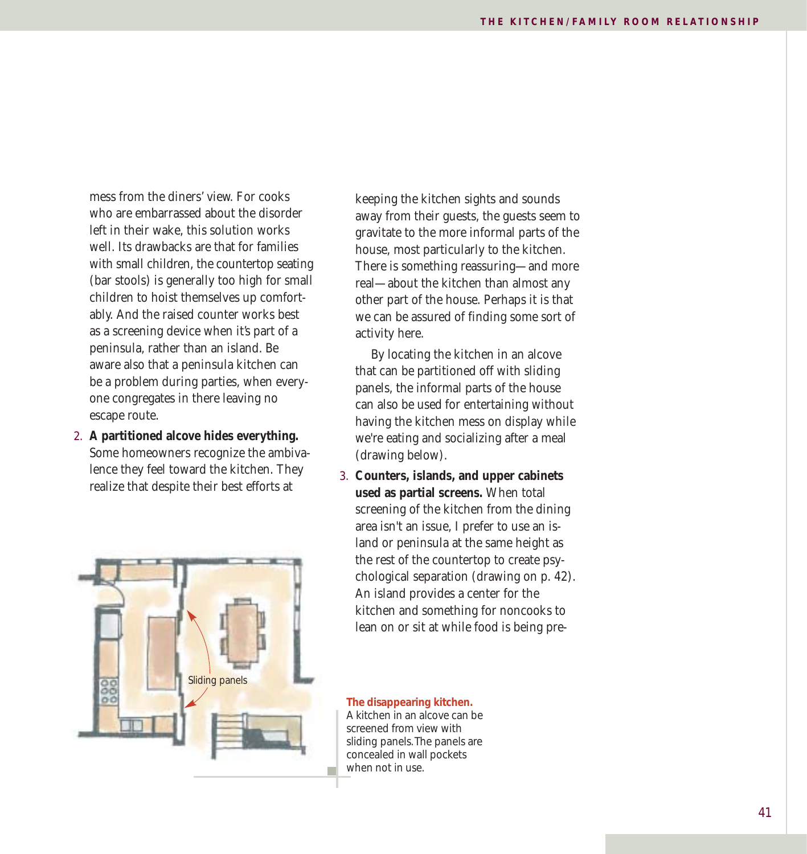mess from the diners' view. For cooks who are embarrassed about the disorder left in their wake, this solution works well. Its drawbacks are that for families with small children, the countertop seating (bar stools) is generally too high for small children to hoist themselves up comfortably. And the raised counter works best as a screening device when it's part of a peninsula, rather than an island. Be aware also that a peninsula kitchen can be a problem during parties, when everyone congregates in there leaving no escape route.

2. **A partitioned alcove hides everything.** Some homeowners recognize the ambivalence they feel toward the kitchen. They realize that despite their best efforts at



keeping the kitchen sights and sounds away from their guests, the guests seem to gravitate to the more informal parts of the house, most particularly to the kitchen. There is something reassuring—and more real—about the kitchen than almost any other part of the house. Perhaps it is that we can be assured of finding some sort of activity here.

By locating the kitchen in an alcove that can be partitioned off with sliding panels, the informal parts of the house can also be used for entertaining without having the kitchen mess on display while we're eating and socializing after a meal (drawing below).

3. **Counters, islands, and upper cabinets used as partial screens.** When total screening of the kitchen from the dining area isn't an issue, I prefer to use an island or peninsula at the same height as the rest of the countertop to create psychological separation (drawing on p. 42). An island provides a center for the kitchen and something for noncooks to lean on or sit at while food is being pre-

## **The disappearing kitchen.**

A kitchen in an alcove can be screened from view with sliding panels. The panels are concealed in wall pockets when not in use.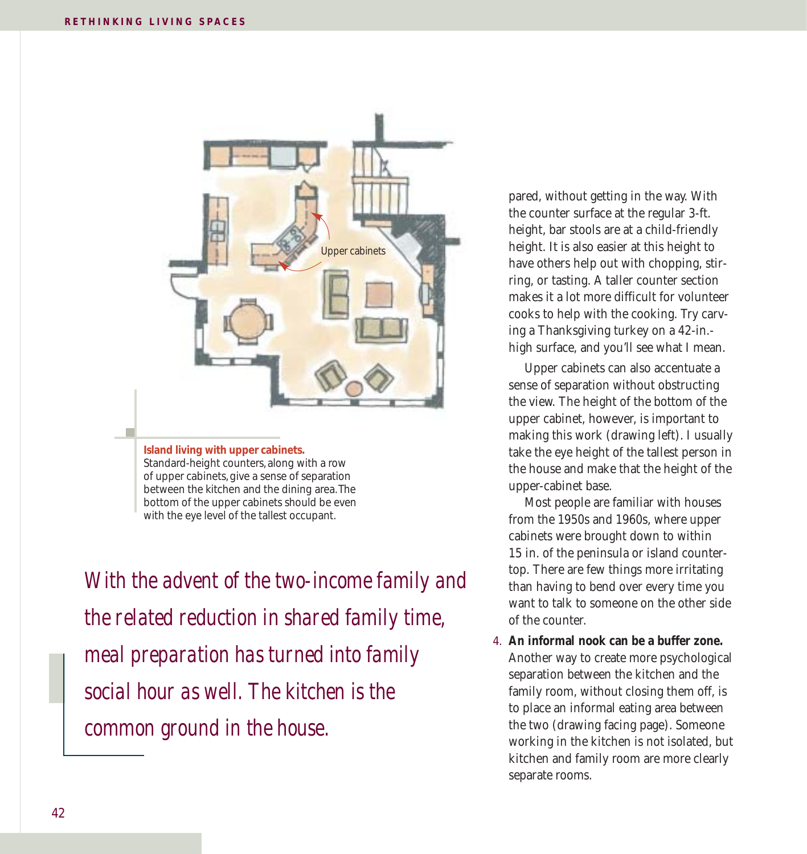

**Island living with upper cabinets.** Standard-height counters, along with a row of upper cabinets, give a sense of separation between the kitchen and the dining area. The bottom of the upper cabinets should be even with the eye level of the tallest occupant.

*With the advent of the two-income family and the related reduction in shared family time, meal preparation has turned into family social hour as well. The kitchen is the common ground in the house.*

pared, without getting in the way. With the counter surface at the regular 3-ft. height, bar stools are at a child-friendly height. It is also easier at this height to have others help out with chopping, stirring, or tasting. A taller counter section makes it a lot more difficult for volunteer cooks to help with the cooking. Try carving a Thanksgiving turkey on a 42-in. high surface, and you'll see what I mean.

Upper cabinets can also accentuate a sense of separation without obstructing the view. The height of the bottom of the upper cabinet, however, is important to making this work (drawing left). I usually take the eye height of the tallest person in the house and make that the height of the upper-cabinet base.

Most people are familiar with houses from the 1950s and 1960s, where upper cabinets were brought down to within 15 in. of the peninsula or island countertop. There are few things more irritating than having to bend over every time you want to talk to someone on the other side of the counter.

4. **An informal nook can be a buffer zone.** Another way to create more psychological separation between the kitchen and the family room, without closing them off, is to place an informal eating area between the two (drawing facing page). Someone working in the kitchen is not isolated, but kitchen and family room are more clearly separate rooms.